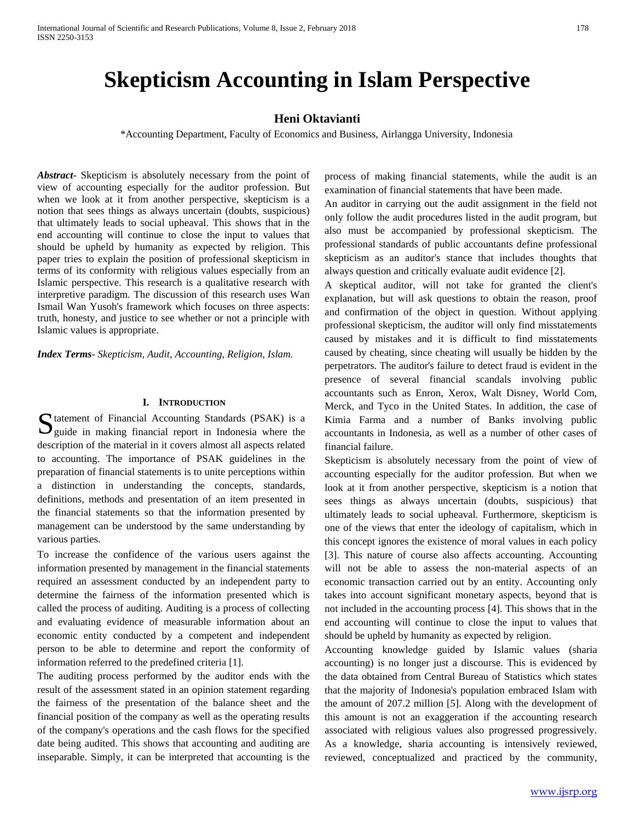# **Skepticism Accounting in Islam Perspective**

# **Heni Oktavianti**

\*Accounting Department, Faculty of Economics and Business, Airlangga University, Indonesia

*Abstract***-** Skepticism is absolutely necessary from the point of view of accounting especially for the auditor profession. But when we look at it from another perspective, skepticism is a notion that sees things as always uncertain (doubts, suspicious) that ultimately leads to social upheaval. This shows that in the end accounting will continue to close the input to values that should be upheld by humanity as expected by religion. This paper tries to explain the position of professional skepticism in terms of its conformity with religious values especially from an Islamic perspective. This research is a qualitative research with interpretive paradigm. The discussion of this research uses Wan Ismail Wan Yusoh's framework which focuses on three aspects: truth, honesty, and justice to see whether or not a principle with Islamic values is appropriate.

*Index Terms*- *Skepticism, Audit, Accounting, Religion, Islam.* 

#### **I. INTRODUCTION**

tatement of Financial Accounting Standards (PSAK) is a Statement of Financial Accounting Standards (PSAK) is a guide in making financial report in Indonesia where the description of the material in it covers almost all aspects related to accounting. The importance of PSAK guidelines in the preparation of financial statements is to unite perceptions within a distinction in understanding the concepts, standards, definitions, methods and presentation of an item presented in the financial statements so that the information presented by management can be understood by the same understanding by various parties.

To increase the confidence of the various users against the information presented by management in the financial statements required an assessment conducted by an independent party to determine the fairness of the information presented which is called the process of auditing. Auditing is a process of collecting and evaluating evidence of measurable information about an economic entity conducted by a competent and independent person to be able to determine and report the conformity of information referred to the predefined criteria [1].

The auditing process performed by the auditor ends with the result of the assessment stated in an opinion statement regarding the fairness of the presentation of the balance sheet and the financial position of the company as well as the operating results of the company's operations and the cash flows for the specified date being audited. This shows that accounting and auditing are inseparable. Simply, it can be interpreted that accounting is the process of making financial statements, while the audit is an examination of financial statements that have been made.

An auditor in carrying out the audit assignment in the field not only follow the audit procedures listed in the audit program, but also must be accompanied by professional skepticism. The professional standards of public accountants define professional skepticism as an auditor's stance that includes thoughts that always question and critically evaluate audit evidence [2].

A skeptical auditor, will not take for granted the client's explanation, but will ask questions to obtain the reason, proof and confirmation of the object in question. Without applying professional skepticism, the auditor will only find misstatements caused by mistakes and it is difficult to find misstatements caused by cheating, since cheating will usually be hidden by the perpetrators. The auditor's failure to detect fraud is evident in the presence of several financial scandals involving public accountants such as Enron, Xerox, Walt Disney, World Com, Merck, and Tyco in the United States. In addition, the case of Kimia Farma and a number of Banks involving public accountants in Indonesia, as well as a number of other cases of financial failure.

Skepticism is absolutely necessary from the point of view of accounting especially for the auditor profession. But when we look at it from another perspective, skepticism is a notion that sees things as always uncertain (doubts, suspicious) that ultimately leads to social upheaval. Furthermore, skepticism is one of the views that enter the ideology of capitalism, which in this concept ignores the existence of moral values in each policy [3]. This nature of course also affects accounting. Accounting will not be able to assess the non-material aspects of an economic transaction carried out by an entity. Accounting only takes into account significant monetary aspects, beyond that is not included in the accounting process [4]. This shows that in the end accounting will continue to close the input to values that should be upheld by humanity as expected by religion.

Accounting knowledge guided by Islamic values (sharia accounting) is no longer just a discourse. This is evidenced by the data obtained from Central Bureau of Statistics which states that the majority of Indonesia's population embraced Islam with the amount of 207.2 million [5]. Along with the development of this amount is not an exaggeration if the accounting research associated with religious values also progressed progressively. As a knowledge, sharia accounting is intensively reviewed, reviewed, conceptualized and practiced by the community,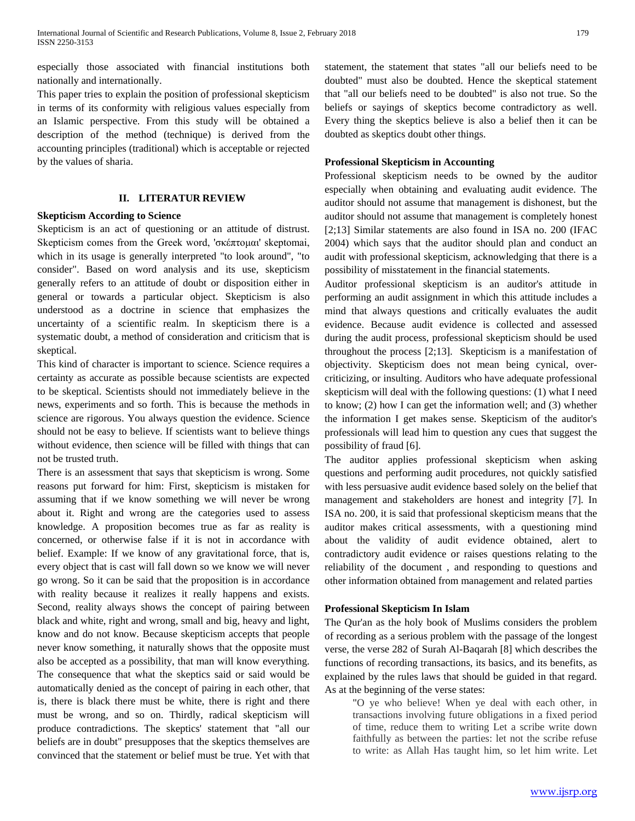especially those associated with financial institutions both nationally and internationally.

This paper tries to explain the position of professional skepticism in terms of its conformity with religious values especially from an Islamic perspective. From this study will be obtained a description of the method (technique) is derived from the accounting principles (traditional) which is acceptable or rejected by the values of sharia.

# **II. LITERATUR REVIEW**

## **Skepticism According to Science**

Skepticism is an act of questioning or an attitude of distrust. Skepticism comes from the Greek word, 'σκέπτομαι' skeptomai, which in its usage is generally interpreted "to look around", "to consider". Based on word analysis and its use, skepticism generally refers to an attitude of doubt or disposition either in general or towards a particular object. Skepticism is also understood as a doctrine in science that emphasizes the uncertainty of a scientific realm. In skepticism there is a systematic doubt, a method of consideration and criticism that is skeptical.

This kind of character is important to science. Science requires a certainty as accurate as possible because scientists are expected to be skeptical. Scientists should not immediately believe in the news, experiments and so forth. This is because the methods in science are rigorous. You always question the evidence. Science should not be easy to believe. If scientists want to believe things without evidence, then science will be filled with things that can not be trusted truth.

There is an assessment that says that skepticism is wrong. Some reasons put forward for him: First, skepticism is mistaken for assuming that if we know something we will never be wrong about it. Right and wrong are the categories used to assess knowledge. A proposition becomes true as far as reality is concerned, or otherwise false if it is not in accordance with belief. Example: If we know of any gravitational force, that is, every object that is cast will fall down so we know we will never go wrong. So it can be said that the proposition is in accordance with reality because it realizes it really happens and exists. Second, reality always shows the concept of pairing between black and white, right and wrong, small and big, heavy and light, know and do not know. Because skepticism accepts that people never know something, it naturally shows that the opposite must also be accepted as a possibility, that man will know everything. The consequence that what the skeptics said or said would be automatically denied as the concept of pairing in each other, that is, there is black there must be white, there is right and there must be wrong, and so on. Thirdly, radical skepticism will produce contradictions. The skeptics' statement that "all our beliefs are in doubt" presupposes that the skeptics themselves are convinced that the statement or belief must be true. Yet with that statement, the statement that states "all our beliefs need to be doubted" must also be doubted. Hence the skeptical statement that "all our beliefs need to be doubted" is also not true. So the beliefs or sayings of skeptics become contradictory as well. Every thing the skeptics believe is also a belief then it can be doubted as skeptics doubt other things.

## **Professional Skepticism in Accounting**

Professional skepticism needs to be owned by the auditor especially when obtaining and evaluating audit evidence. The auditor should not assume that management is dishonest, but the auditor should not assume that management is completely honest [2;13] Similar statements are also found in ISA no. 200 (IFAC 2004) which says that the auditor should plan and conduct an audit with professional skepticism, acknowledging that there is a possibility of misstatement in the financial statements.

Auditor professional skepticism is an auditor's attitude in performing an audit assignment in which this attitude includes a mind that always questions and critically evaluates the audit evidence. Because audit evidence is collected and assessed during the audit process, professional skepticism should be used throughout the process [2;13]. Skepticism is a manifestation of objectivity. Skepticism does not mean being cynical, overcriticizing, or insulting. Auditors who have adequate professional skepticism will deal with the following questions: (1) what I need to know; (2) how I can get the information well; and (3) whether the information I get makes sense. Skepticism of the auditor's professionals will lead him to question any cues that suggest the possibility of fraud [6].

The auditor applies professional skepticism when asking questions and performing audit procedures, not quickly satisfied with less persuasive audit evidence based solely on the belief that management and stakeholders are honest and integrity [7]. In ISA no. 200, it is said that professional skepticism means that the auditor makes critical assessments, with a questioning mind about the validity of audit evidence obtained, alert to contradictory audit evidence or raises questions relating to the reliability of the document , and responding to questions and other information obtained from management and related parties

## **Professional Skepticism In Islam**

The Qur'an as the holy book of Muslims considers the problem of recording as a serious problem with the passage of the longest verse, the verse 282 of Surah Al-Baqarah [8] which describes the functions of recording transactions, its basics, and its benefits, as explained by the rules laws that should be guided in that regard. As at the beginning of the verse states:

> "O ye who believe! When ye deal with each other, in transactions involving future obligations in a fixed period of time, reduce them to writing Let a scribe write down faithfully as between the parties: let not the scribe refuse to write: as Allah Has taught him, so let him write. Let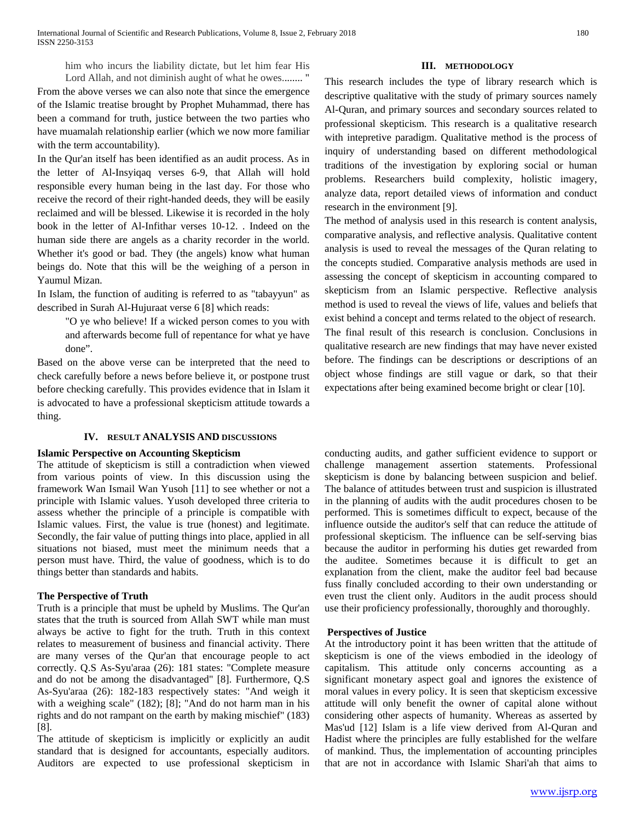From the above verses we can also note that since the emergence of the Islamic treatise brought by Prophet Muhammad, there has been a command for truth, justice between the two parties who have muamalah relationship earlier (which we now more familiar with the term accountability).

In the Qur'an itself has been identified as an audit process. As in the letter of Al-Insyiqaq verses 6-9, that Allah will hold responsible every human being in the last day. For those who receive the record of their right-handed deeds, they will be easily reclaimed and will be blessed. Likewise it is recorded in the holy book in the letter of Al-Infithar verses 10-12. . Indeed on the human side there are angels as a charity recorder in the world. Whether it's good or bad. They (the angels) know what human beings do. Note that this will be the weighing of a person in Yaumul Mizan.

In Islam, the function of auditing is referred to as "tabayyun" as described in Surah Al-Hujuraat verse 6 [8] which reads:

> "O ye who believe! If a wicked person comes to you with and afterwards become full of repentance for what ye have done".

Based on the above verse can be interpreted that the need to check carefully before a news before believe it, or postpone trust before checking carefully. This provides evidence that in Islam it is advocated to have a professional skepticism attitude towards a thing.

## **IV. RESULT ANALYSIS AND DISCUSSIONS**

## **Islamic Perspective on Accounting Skepticism**

The attitude of skepticism is still a contradiction when viewed from various points of view. In this discussion using the framework Wan Ismail Wan Yusoh [11] to see whether or not a principle with Islamic values. Yusoh developed three criteria to assess whether the principle of a principle is compatible with Islamic values. First, the value is true (honest) and legitimate. Secondly, the fair value of putting things into place, applied in all situations not biased, must meet the minimum needs that a person must have. Third, the value of goodness, which is to do things better than standards and habits.

# **The Perspective of Truth**

Truth is a principle that must be upheld by Muslims. The Qur'an states that the truth is sourced from Allah SWT while man must always be active to fight for the truth. Truth in this context relates to measurement of business and financial activity. There are many verses of the Qur'an that encourage people to act correctly. Q.S As-Syu'araa (26): 181 states: "Complete measure and do not be among the disadvantaged" [8]. Furthermore, Q.S As-Syu'araa (26): 182-183 respectively states: "And weigh it with a weighing scale" (182); [8]; "And do not harm man in his rights and do not rampant on the earth by making mischief" (183) [8].

The attitude of skepticism is implicitly or explicitly an audit standard that is designed for accountants, especially auditors. Auditors are expected to use professional skepticism in

## **III. METHODOLOGY**

This research includes the type of library research which is descriptive qualitative with the study of primary sources namely Al-Quran, and primary sources and secondary sources related to professional skepticism. This research is a qualitative research with intepretive paradigm. Qualitative method is the process of inquiry of understanding based on different methodological traditions of the investigation by exploring social or human problems. Researchers build complexity, holistic imagery, analyze data, report detailed views of information and conduct research in the environment [9].

The method of analysis used in this research is content analysis, comparative analysis, and reflective analysis. Qualitative content analysis is used to reveal the messages of the Quran relating to the concepts studied. Comparative analysis methods are used in assessing the concept of skepticism in accounting compared to skepticism from an Islamic perspective. Reflective analysis method is used to reveal the views of life, values and beliefs that exist behind a concept and terms related to the object of research. The final result of this research is conclusion. Conclusions in qualitative research are new findings that may have never existed before. The findings can be descriptions or descriptions of an object whose findings are still vague or dark, so that their expectations after being examined become bright or clear [10].

conducting audits, and gather sufficient evidence to support or challenge management assertion statements. Professional skepticism is done by balancing between suspicion and belief. The balance of attitudes between trust and suspicion is illustrated in the planning of audits with the audit procedures chosen to be performed. This is sometimes difficult to expect, because of the influence outside the auditor's self that can reduce the attitude of professional skepticism. The influence can be self-serving bias because the auditor in performing his duties get rewarded from the auditee. Sometimes because it is difficult to get an explanation from the client, make the auditor feel bad because fuss finally concluded according to their own understanding or even trust the client only. Auditors in the audit process should use their proficiency professionally, thoroughly and thoroughly.

## **Perspectives of Justice**

At the introductory point it has been written that the attitude of skepticism is one of the views embodied in the ideology of capitalism. This attitude only concerns accounting as a significant monetary aspect goal and ignores the existence of moral values in every policy. It is seen that skepticism excessive attitude will only benefit the owner of capital alone without considering other aspects of humanity. Whereas as asserted by Mas'ud [12] Islam is a life view derived from Al-Quran and Hadist where the principles are fully established for the welfare of mankind. Thus, the implementation of accounting principles that are not in accordance with Islamic Shari'ah that aims to